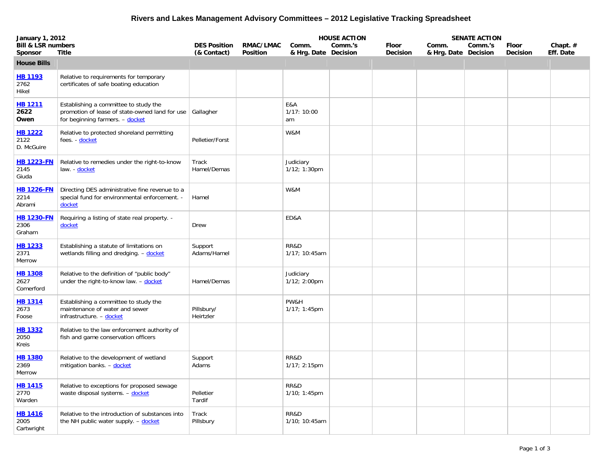## **Rivers and Lakes Management Advisory Committees – 2012 Legislative Tracking Spreadsheet**

| <b>January 1, 2012</b>               |                                                                                                                            |                         |                 |                              | <b>HOUSE ACTION</b> |                 |                      | <b>SENATE ACTION</b> |                 |           |
|--------------------------------------|----------------------------------------------------------------------------------------------------------------------------|-------------------------|-----------------|------------------------------|---------------------|-----------------|----------------------|----------------------|-----------------|-----------|
| <b>Bill &amp; LSR numbers</b>        |                                                                                                                            | <b>DES Position</b>     | RMAC/LMAC       | Comm.                        | Comm.'s             | <b>Floor</b>    | Comm.                | Comm.'s              | Floor           | Chapt. #  |
| <b>Sponsor</b>                       | <b>Title</b>                                                                                                               | (& Contact)             | <b>Position</b> | & Hrg. Date Decision         |                     | <b>Decision</b> | & Hrg. Date Decision |                      | <b>Decision</b> | Eff. Date |
| <b>House Bills</b>                   |                                                                                                                            |                         |                 |                              |                     |                 |                      |                      |                 |           |
| <b>HB 1193</b><br>2762<br>Hikel      | Relative to requirements for temporary<br>certificates of safe boating education                                           |                         |                 |                              |                     |                 |                      |                      |                 |           |
| <b>HB 1211</b><br>2622<br>Owen       | Establishing a committee to study the<br>promotion of lease of state-owned land for use<br>for beginning farmers. - docket | Gallagher               |                 | E&A<br>1/17: 10:00<br>am     |                     |                 |                      |                      |                 |           |
| <b>HB 1222</b><br>2122<br>D. McGuire | Relative to protected shoreland permitting<br>fees. - docket                                                               | Pelletier/Forst         |                 | W&M                          |                     |                 |                      |                      |                 |           |
| <b>HB 1223-FN</b><br>2145<br>Giuda   | Relative to remedies under the right-to-know<br>law - docket                                                               | Track<br>Hamel/Demas    |                 | Judiciary<br>$1/12$ ; 1:30pm |                     |                 |                      |                      |                 |           |
| <b>HB 1226-FN</b><br>2214<br>Abrami  | Directing DES administrative fine revenue to a<br>special fund for environmental enforcement. -<br>docket                  | Hamel                   |                 | W&M                          |                     |                 |                      |                      |                 |           |
| <b>HB 1230-FN</b><br>2306<br>Graham  | Requiring a listing of state real property. -<br>docket                                                                    | Drew                    |                 | ED&A                         |                     |                 |                      |                      |                 |           |
| <b>HB 1233</b><br>2371<br>Merrow     | Establishing a statute of limitations on<br>wetlands filling and dredging. - docket                                        | Support<br>Adams/Hamel  |                 | RR&D<br>1/17; 10:45am        |                     |                 |                      |                      |                 |           |
| <b>HB 1308</b><br>2627<br>Comerford  | Relative to the definition of "public body"<br>under the right-to-know law. - docket                                       | Hamel/Demas             |                 | Judiciary<br>1/12; 2:00pm    |                     |                 |                      |                      |                 |           |
| <b>HB 1314</b><br>2673<br>Foose      | Establishing a committee to study the<br>maintenance of water and sewer<br>infrastructure. - docket                        | Pillsbury/<br>Heirtzler |                 | PW&H<br>$1/17; 1:45$ pm      |                     |                 |                      |                      |                 |           |
| <b>HB 1332</b><br>2050<br>Kreis      | Relative to the law enforcement authority of<br>fish and game conservation officers                                        |                         |                 |                              |                     |                 |                      |                      |                 |           |
| <u>HB 1380</u><br>2369<br>Merrow     | Relative to the development of wetland<br>mitigation banks. - docket                                                       | Support<br>Adams        |                 | RR&D<br>1/17; 2:15pm         |                     |                 |                      |                      |                 |           |
| <b>HB 1415</b><br>2770<br>Warden     | Relative to exceptions for proposed sewage<br>waste disposal systems. - docket                                             | Pelletier<br>Tardif     |                 | RR&D<br>1/10; 1:45pm         |                     |                 |                      |                      |                 |           |
| <b>HB 1416</b><br>2005<br>Cartwright | Relative to the introduction of substances into<br>the NH public water supply. - docket                                    | Track<br>Pillsbury      |                 | RR&D<br>1/10; 10:45am        |                     |                 |                      |                      |                 |           |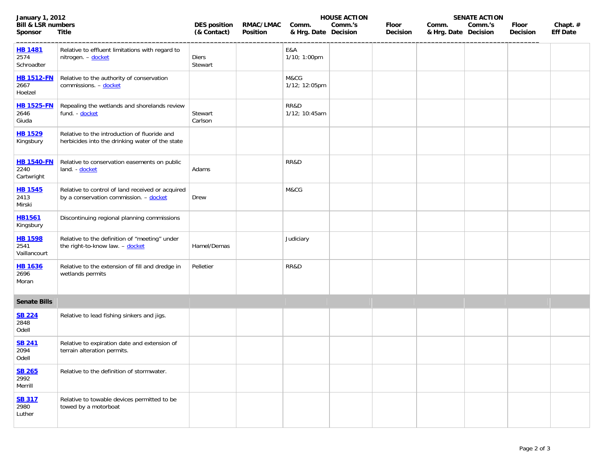| <b>January 1, 2012</b>                          |                                                                                                 |                                    |                       | <b>HOUSE ACTION</b>           |         |                   | <b>SENATE ACTION</b>          |         |                          |                             |
|-------------------------------------------------|-------------------------------------------------------------------------------------------------|------------------------------------|-----------------------|-------------------------------|---------|-------------------|-------------------------------|---------|--------------------------|-----------------------------|
| <b>Bill &amp; LSR numbers</b><br><b>Sponsor</b> | <b>Title</b>                                                                                    | <b>DES position</b><br>(& Contact) | RMAC/LMAC<br>Position | Comm.<br>& Hrg. Date Decision | Comm.'s | Floor<br>Decision | Comm.<br>& Hrg. Date Decision | Comm.'s | Floor<br><b>Decision</b> | Chapt. #<br><b>Eff Date</b> |
| <b>HB 1481</b><br>2574<br>Schroadter            | Relative to effluent limitations with regard to<br>nitrogen. - docket                           | Diers<br>Stewart                   |                       | E&A<br>1/10; 1:00pm           |         |                   |                               |         |                          |                             |
| <b>HB 1512-FN</b><br>2667<br>Hoelzel            | Relative to the authority of conservation<br>commissions. - docket                              |                                    |                       | M&CG<br>1/12; 12:05pm         |         |                   |                               |         |                          |                             |
| <b>HB 1525-FN</b><br>2646<br>Giuda              | Repealing the wetlands and shorelands review<br>fund. - docket                                  | Stewart<br>Carlson                 |                       | RR&D<br>1/12; 10:45am         |         |                   |                               |         |                          |                             |
| <b>HB 1529</b><br>Kingsbury                     | Relative to the introduction of fluoride and<br>herbicides into the drinking water of the state |                                    |                       |                               |         |                   |                               |         |                          |                             |
| <b>HB 1540-FN</b><br>2240<br>Cartwright         | Relative to conservation easements on public<br>land. - docket                                  | Adams                              |                       | RR&D                          |         |                   |                               |         |                          |                             |
| <b>HB 1545</b><br>2413<br>Mirski                | Relative to control of land received or acquired<br>by a conservation commission. - docket      | Drew                               |                       | M&CG                          |         |                   |                               |         |                          |                             |
| <b>HB1561</b><br>Kingsbury                      | Discontinuing regional planning commissions                                                     |                                    |                       |                               |         |                   |                               |         |                          |                             |
| <b>HB 1598</b><br>2541<br>Vaillancourt          | Relative to the definition of "meeting" under<br>the right-to-know law. - docket                | Hamel/Demas                        |                       | Judiciary                     |         |                   |                               |         |                          |                             |
| <b>HB 1636</b><br>2696<br>Moran                 | Relative to the extension of fill and dredge in<br>wetlands permits                             | Pelletier                          |                       | RR&D                          |         |                   |                               |         |                          |                             |
| <b>Senate Bills</b>                             |                                                                                                 |                                    |                       |                               |         |                   |                               |         |                          |                             |
| <b>SB 224</b><br>2848<br>Odell                  | Relative to lead fishing sinkers and jigs.                                                      |                                    |                       |                               |         |                   |                               |         |                          |                             |
| <b>SB 241</b><br>2094<br>Odell                  | Relative to expiration date and extension of<br>terrain alteration permits.                     |                                    |                       |                               |         |                   |                               |         |                          |                             |
| <b>SB 265</b><br>2992<br>Merrill                | Relative to the definition of stormwater.                                                       |                                    |                       |                               |         |                   |                               |         |                          |                             |
| <b>SB 317</b><br>2980<br>Luther                 | Relative to towable devices permitted to be<br>towed by a motorboat                             |                                    |                       |                               |         |                   |                               |         |                          |                             |